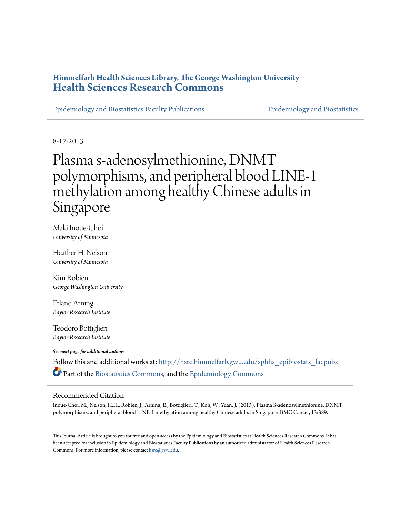# **Himmelfarb Health Sciences Library, The George Washington University [Health Sciences Research Commons](http://hsrc.himmelfarb.gwu.edu?utm_source=hsrc.himmelfarb.gwu.edu%2Fsphhs_epibiostats_facpubs%2F108&utm_medium=PDF&utm_campaign=PDFCoverPages)**

[Epidemiology and Biostatistics Faculty Publications](http://hsrc.himmelfarb.gwu.edu/sphhs_epibiostats_facpubs?utm_source=hsrc.himmelfarb.gwu.edu%2Fsphhs_epibiostats_facpubs%2F108&utm_medium=PDF&utm_campaign=PDFCoverPages) [Epidemiology and Biostatistics](http://hsrc.himmelfarb.gwu.edu/sphhs_epibiostats?utm_source=hsrc.himmelfarb.gwu.edu%2Fsphhs_epibiostats_facpubs%2F108&utm_medium=PDF&utm_campaign=PDFCoverPages)

8-17-2013

# Plasma s-adenosylmethionine, DNMT polymorphisms, and peripheral blood LINE-1 methylation among healthy Chinese adults in Singapore

Maki Inoue-Choi *University of Minnesota*

Heather H. Nelson *University of Minnesota*

Kim Robien *George Washington University*

Erland Arning *Baylor Research Institute*

Teodoro Bottiglieri *Baylor Research Institute*

*See next page for additional authors*

Follow this and additional works at: [http://hsrc.himmelfarb.gwu.edu/sphhs\\_epibiostats\\_facpubs](http://hsrc.himmelfarb.gwu.edu/sphhs_epibiostats_facpubs?utm_source=hsrc.himmelfarb.gwu.edu%2Fsphhs_epibiostats_facpubs%2F108&utm_medium=PDF&utm_campaign=PDFCoverPages) Part of the [Biostatistics Commons,](http://network.bepress.com/hgg/discipline/210?utm_source=hsrc.himmelfarb.gwu.edu%2Fsphhs_epibiostats_facpubs%2F108&utm_medium=PDF&utm_campaign=PDFCoverPages) and the [Epidemiology Commons](http://network.bepress.com/hgg/discipline/740?utm_source=hsrc.himmelfarb.gwu.edu%2Fsphhs_epibiostats_facpubs%2F108&utm_medium=PDF&utm_campaign=PDFCoverPages)

# Recommended Citation

Inoue-Choi, M., Nelson, H.H., Robien, J., Arning, E., Bottiglieri, T., Koh, W., Yuan, J. (2013). Plasma S-adenosylmethionine, DNMT polymorphisms, and peripheral blood LINE-1 methylation among healthy Chinese adults in Singapore. BMC Cancer, 13:389.

This Journal Article is brought to you for free and open access by the Epidemiology and Biostatistics at Health Sciences Research Commons. It has been accepted for inclusion in Epidemiology and Biostatistics Faculty Publications by an authorized administrator of Health Sciences Research Commons. For more information, please contact [hsrc@gwu.edu.](mailto:hsrc@gwu.edu)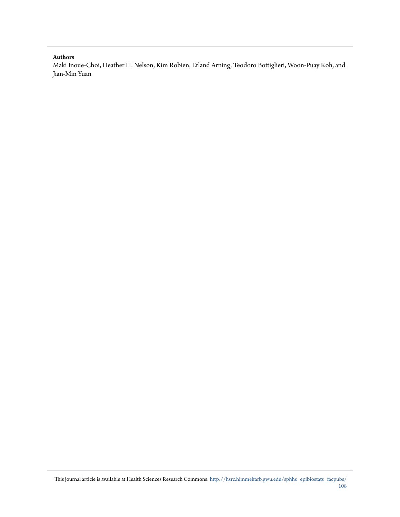## **Authors**

Maki Inoue-Choi, Heather H. Nelson, Kim Robien, Erland Arning, Teodoro Bottiglieri, Woon-Puay Koh, and Jian-Min Yuan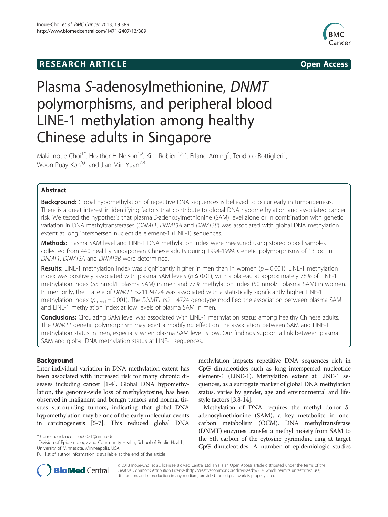# **RESEARCH ARTICLE Example 2014 The SEAR CH ACCESS**





# Plasma S-adenosylmethionine, DNMT polymorphisms, and peripheral blood LINE-1 methylation among healthy Chinese adults in Singapore

Maki Inoue-Choi<sup>1\*</sup>, Heather H Nelson<sup>1,2</sup>, Kim Robien<sup>1,2,3</sup>, Erland Arning<sup>4</sup>, Teodoro Bottiglieri<sup>4</sup> , Woon-Puay Koh<sup>5,6</sup> and Jian-Min Yuan<sup>7,8</sup>

# Abstract

Background: Global hypomethylation of repetitive DNA sequences is believed to occur early in tumorigenesis. There is a great interest in identifying factors that contribute to global DNA hypomethylation and associated cancer risk. We tested the hypothesis that plasma S-adenosylmethionine (SAM) level alone or in combination with genetic variation in DNA methyltransferases (DNMT1, DNMT3A and DNMT3B) was associated with global DNA methylation extent at long interspersed nucleotide element-1 (LINE-1) sequences.

Methods: Plasma SAM level and LINE-1 DNA methylation index were measured using stored blood samples collected from 440 healthy Singaporean Chinese adults during 1994-1999. Genetic polymorphisms of 13 loci in DNMT1, DNMT3A and DNMT3B were determined.

**Results:** LINE-1 methylation index was significantly higher in men than in women ( $p = 0.001$ ). LINE-1 methylation index was positively associated with plasma SAM levels ( $p \le 0.01$ ), with a plateau at approximately 78% of LINE-1 methylation index (55 nmol/L plasma SAM) in men and 77% methylation index (50 nmol/L plasma SAM) in women. In men only, the T allele of DNMT1 rs21124724 was associated with a statistically significantly higher LINE-1 methylation index ( $p_{\text{trend}} = 0.001$ ). The DNMT1 rs2114724 genotype modified the association between plasma SAM and LINE-1 methylation index at low levels of plasma SAM in men.

**Conclusions:** Circulating SAM level was associated with LINE-1 methylation status among healthy Chinese adults. The DNMT1 genetic polymorphism may exert a modifying effect on the association between SAM and LINE-1 methylation status in men, especially when plasma SAM level is low. Our findings support a link between plasma SAM and global DNA methylation status at LINE-1 sequences.

# Background

Inter-individual variation in DNA methylation extent has been associated with increased risk for many chronic diseases including cancer [[1-4\]](#page-10-0). Global DNA hypomethylation, the genome-wide loss of methylcytosine, has been observed in malignant and benign tumors and normal tissues surrounding tumors, indicating that global DNA hypomethylation may be one of the early molecular events in carcinogenesis [[5-7\]](#page-10-0). This reduced global DNA methylation impacts repetitive DNA sequences rich in CpG dinucleotides such as long interspersed nucleotide element-1 (LINE-1). Methylation extent at LINE-1 sequences, as a surrogate marker of global DNA methylation status, varies by gender, age and environmental and lifestyle factors [[3,8](#page-10-0)-[14](#page-11-0)].

Methylation of DNA requires the methyl donor Sadenosylmethionine (SAM), a key metabolite in onecarbon metabolism (OCM). DNA methyltransferase (DNMT) enzymes transfer a methyl moiety from SAM to the 5th carbon of the cytosine pyrimidine ring at target CpG dinucleotides. A number of epidemiologic studies



© 2013 Inoue-Choi et al.; licensee BioMed Central Ltd. This is an Open Access article distributed under the terms of the Creative Commons Attribution License (<http://creativecommons.org/licenses/by/2.0>), which permits unrestricted use, distribution, and reproduction in any medium, provided the original work is properly cited.

<sup>\*</sup> Correspondence: [inou0021@umn.edu](mailto:inou0021@umn.edu) <sup>1</sup>

<sup>&</sup>lt;sup>1</sup> Division of Epidemiology and Community Health, School of Public Health, University of Minnesota, Minneapolis, USA

Full list of author information is available at the end of the article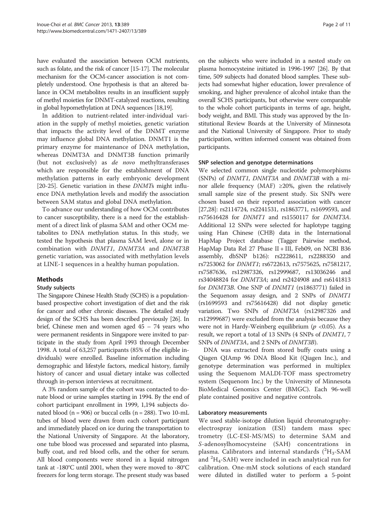have evaluated the association between OCM nutrients, such as folate, and the risk of cancer [\[15-17\]](#page-11-0). The molecular mechanism for the OCM-cancer association is not completely understood. One hypothesis is that an altered balance in OCM metabolites results in an insufficient supply of methyl moieties for DNMT-catalyzed reactions, resulting in global hypomethylation at DNA sequences [\[18,19\]](#page-11-0).

In addition to nutrient-related inter-individual variation in the supply of methyl moieties, genetic variation that impacts the activity level of the DNMT enzyme may influence global DNA methylation. DNMT1 is the primary enzyme for maintenance of DNA methylation, whereas DNMT3A and DNMT3B function primarily (but not exclusively) as de novo methyltransferases which are responsible for the establishment of DNA methylation patterns in early embryonic development [[20-25](#page-11-0)]. Genetic variation in these *DNMTs* might influence DNA methylation levels and modify the association between SAM status and global DNA methylation.

To advance our understanding of how OCM contributes to cancer susceptibility, there is a need for the establishment of a direct link of plasma SAM and other OCM metabolites to DNA methylation status. In this study, we tested the hypothesis that plasma SAM level, alone or in combination with DNMT1, DNMT3A and DNMT3B genetic variation, was associated with methylation levels at LINE-1 sequences in a healthy human population.

## Methods

#### Study subjects

The Singapore Chinese Health Study (SCHS) is a populationbased prospective cohort investigation of diet and the risk for cancer and other chronic diseases. The detailed study design of the SCHS has been described previously [\[26\]](#page-11-0). In brief, Chinese men and women aged 45 – 74 years who were permanent residents in Singapore were invited to participate in the study from April 1993 through December 1998. A total of 63,257 participants (85% of the eligible individuals) were enrolled. Baseline information including demographic and lifestyle factors, medical history, family history of cancer and usual dietary intake was collected through in-person interviews at recruitment.

A 3% random sample of the cohort was contacted to donate blood or urine samples starting in 1994. By the end of cohort participant enrollment in 1999, 1,194 subjects donated blood ( $n = 906$ ) or buccal cells ( $n = 288$ ). Two 10-mL tubes of blood were drawn from each cohort participant and immediately placed on ice during the transportation to the National University of Singapore. At the laboratory, one tube blood was processed and separated into plasma, buffy coat, and red blood cells, and the other for serum. All blood components were stored in a liquid nitrogen tank at -180°C until 2001, when they were moved to -80°C freezers for long term storage. The present study was based

on the subjects who were included in a nested study on plasma homocysteine initiated in 1996-1997 [[26](#page-11-0)]. By that time, 509 subjects had donated blood samples. These subjects had somewhat higher education, lower prevalence of smoking, and higher prevalence of alcohol intake than the overall SCHS participants, but otherwise were comparable to the whole cohort participants in terms of age, height, body weight, and BMI. This study was approved by the Institutional Review Boards at the University of Minnesota and the National University of Singapore. Prior to study participation, written informed consent was obtained from participants.

#### SNP selection and genotype determinations

We selected common single nucleotide polymorphisms (SNPs) of DNMT1, DNMT3A and DNMT3B with a minor allele frequency (MAF) ≥20%, given the relatively small sample size of the present study. Six SNPs were chosen based on their reported association with cancer [[27,28](#page-11-0)]: rs2114724, rs2241531, rs1863771, rs1699593, and rs75616428 for DNMT1 and rs1550117 for DNMT3A. Additional 12 SNPs were selected for haplotype tagging using Han Chinese (CHB) data in the International HapMap Project database (Tagger Pairwise method, HapMap Data Rel 27 Phase II + III, Feb09, on NCBI B36 assembly, dbSNP b126): rs2228611, rs2288350 and rs7253062 for DNMT1; rs6722613, rs7575625, rs7581217, rs7587636, rs12987326, rs12999687, rs13036246 and rs34048824 for DNMT3A; and rs2424908 and rs6141813 for DNMT3B. One SNP of DNMT1 (rs1863771) failed in the Sequenom assay design, and 2 SNPs of DNMT1 (rs1699593 and rs75616428) did not display genetic variation. Two SNPs of DNMT3A (rs12987326 and rs12999687) were excluded from the analysis because they were not in Hardy-Weinberg equilibrium ( $p < 0.05$ ). As a result, we report a total of 13 SNPs (4 SNPs of DNMT1, 7 SNPs of DNMT3A, and 2 SNPs of DNMT3B).

DNA was extracted from stored buffy coats using a Qiagen QIAmp 96 DNA Blood Kit (Qiagen Inc.), and genotype determination was performed in multiplex using the Sequenom MALDI-TOF mass spectrometry system (Sequenom Inc.) by the University of Minnesota BioMedical Genomics Center (BMGC). Each 96-well plate contained positive and negative controls.

## Laboratory measurements

We used stable-isotope dilution liquid chromatographyelectrospray ionization (ESI) tandem mass spec trometry (LC-ESI-MS/MS) to determine SAM and S-adenosylhomocysteine (SAH) concentrations in plasma. Calibrators and internal standards  $(^{2}H_{3}$ -SAM and <sup>2</sup>H<sub>4</sub>-SAH) were included in each analytical run for calibration. One-mM stock solutions of each standard were diluted in distilled water to perform a 5-point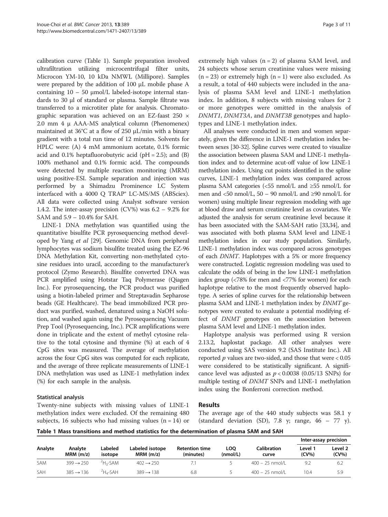calibration curve (Table 1). Sample preparation involved ultrafiltration utilizing microcentrifugal filter units, Microcon YM-10, 10 kDa NMWL (Millipore). Samples were prepared by the addition of 100 μL mobile phase A containing  $10 - 50$  μmol/L labeled-isotope internal standards to 30 μl of standard or plasma. Sample filtrate was transferred to a microtiter plate for analysis. Chromatographic separation was achieved on an EZ-faast 250 × 2.0 mm 4 μ AAA-MS analytical column (Phenomenex) maintained at 36°C at a flow of 250 μL/min with a binary gradient with a total run time of 12 minutes. Solvents for HPLC were: (A) 4 mM ammonium acetate, 0.1% formic acid and  $0.1\%$  heptafluorobutyric acid (pH = 2.5); and (B) 100% methanol and 0.1% formic acid. The compounds were detected by multiple reaction monitoring (MRM) using positive-ESI. Sample separation and injection was performed by a Shimadzu Prominence LC System interfaced with a 4000 Q TRAP® LC-MS/MS (ABSciex). All data were collected using Analyst software version 1.4.2. The inter-assay precision (CV%) was  $6.2 - 9.2\%$  for SAM and 5.9 – 10.4% for SAH.

LINE-1 DNA methylation was quantified using the quantitative bisulfite PCR pyrosequencing method developed by Yang et al [\[29](#page-11-0)]. Genomic DNA from peripheral lymphocytes was sodium bisulfite treated using the EZ-96 DNA Methylation Kit, converting non-methylated cytosine residues into uracil, according to the manufacturer's protocol (Zymo Research). Bisulfite converted DNA was PCR amplified using Hotstar Taq Polymerase (Qiagen Inc.). For pyrosequencing, the PCR product was purified using a biotin-labeled primer and Streptavadin Sepharose beads (GE Healthcare). The bead immobilized PCR product was purified, washed, denatured using a NaOH solution, and washed again using the Pyrosequencing Vacuum Prep Tool (Pyrosequencing, Inc.). PCR amplifications were done in triplicate and the extent of methyl cytosine relative to the total cytosine and thymine (%) at each of 4 CpG sites was measured. The average of methylation across the four CpG sites was computed for each replicate, and the average of three replicate measurements of LINE-1 DNA methylation was used as LINE-1 methylation index (%) for each sample in the analysis.

## Statistical analysis

Twenty-nine subjects with missing values of LINE-1 methylation index were excluded. Of the remaining 480 subjects, 16 subjects who had missing values  $(n = 14)$  or

extremely high values  $(n = 2)$  of plasma SAM level, and 24 subjects whose serum creatinine values were missing  $(n = 23)$  or extremely high  $(n = 1)$  were also excluded. As a result, a total of 440 subjects were included in the analysis of plasma SAM level and LINE-1 methylation index. In addition, 8 subjects with missing values for 2 or more genotypes were omitted in the analysis of DNMT1, DNMT3A, and DNMT3B genotypes and haplotypes and LINE-1 methylation index.

All analyses were conducted in men and women separately, given the difference in LINE-1 methylation index between sexes [\[30](#page-11-0)-[32](#page-11-0)]. Spline curves were created to visualize the association between plasma SAM and LINE-1 methylation index and to determine acut-off value of low LINE-1 methylation index. Using cut points identified in the spline curves, LINE-1 methylation index was compared across plasma SAM categories (<55 nmol/L and ≥55 nmol/L for men and <50 nmol/L,  $50 - 90$  nmol/L and  $\geq 90$  nmol/L for women) using multiple linear regression modeling with age at blood draw and serum creatinine level as covariates. We adjusted the analysis for serum creatinine level because it has been associated with the SAM-SAH ratio [\[33,34](#page-11-0)], and was associated with both plasma SAM level and LINE-1 methylation index in our study population. Similarly, LINE-1 methylation index was compared across genotypes of each DNMT. Haplotypes with a 5% or more frequency were constructed. Logistic regression modeling was used to calculate the odds of being in the low LINE-1 methylation index group (<78% for men and <77% for women) for each haplotype relative to the most frequently observed haplotype. A series of spline curves for the relationship between plasma SAM and LINE-1 methylation index by DNMT genotypes were created to evaluate a potential modifying effect of DNMT genotypes on the association between plasma SAM level and LINE-1 methylation index.

Haplotype analysis was performed using R version 2.13.2, haplostat package. All other analyses were conducted using SAS version 9.2 (SAS Institute Inc.). All reported  $p$  values are two-sided, and those that were  $< 0.05$ were considered to be statistically significant. A significance level was adjusted as  $p < 0.0038$  (0.05/13 SNPs) for multiple testing of DNMT SNPs and LINE-1 methylation index using the Bonferroni correction method.

## Results

The average age of the 440 study subjects was 58.1 y (standard deviation (SD), 7.8 y; range,  $46 - 77$  y).

| Table 1 Mass transitions and method statistics for the determination of plasma SAM and SAH |  |  |  |  |
|--------------------------------------------------------------------------------------------|--|--|--|--|
|--------------------------------------------------------------------------------------------|--|--|--|--|

|         |                        |                    |                                |                                    |                 |                      | Inter-assay precision |                  |
|---------|------------------------|--------------------|--------------------------------|------------------------------------|-----------------|----------------------|-----------------------|------------------|
| Analyte | Analyte<br>$MRM$ (m/z) | Labeled<br>isotope | Labeled isotope<br>$MRM$ (m/z) | <b>Retention time</b><br>(minutes) | LOO<br>(mmol/L) | Calibration<br>curve | Level 1<br>$(CV\%)$   | Level 2<br>(CV%) |
| SAM     | $399 \rightarrow 250$  | $2H2-SAM$          | $402 \rightarrow 250$          |                                    |                 | $400 - 25$ nmol/L    | 9.2                   | 6.2              |
| SAH     | $385 \rightarrow 136$  | $4H - SAH$         | $389 \rightarrow 138$          | 6.8                                |                 | $400 - 25$ nmol/L    | 10.4                  | 5.9              |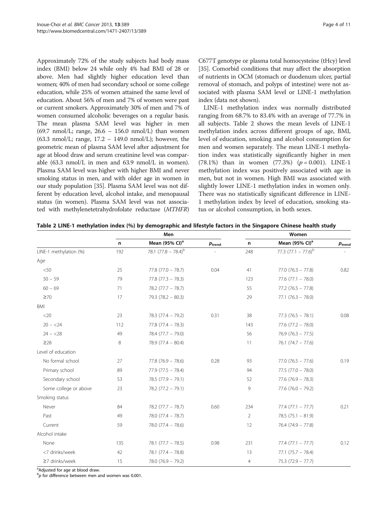Approximately 72% of the study subjects had body mass index (BMI) below 24 while only 4% had BMI of 28 or above. Men had slightly higher education level than women; 40% of men had secondary school or some college education, while 25% of women attained the same level of education. About 56% of men and 7% of women were past or current smokers. Approximately 30% of men and 7% of women consumed alcoholic beverages on a regular basis. The mean plasma SAM level was higher in men (69.7 nmol/L; range, 26.6 – 156.0 nmol/L) than women  $(63.3 \text{ nmol/L}; \text{range}, 17.2 - 149.0 \text{ nmol/L}; \text{however}, \text{the}$ geometric mean of plasma SAM level after adjustment for age at blood draw and serum creatinine level was comparable (63.3 nmol/L in men and 63.9 nmol/L in women). Plasma SAM level was higher with higher BMI and never smoking status in men, and with older age in women in our study population [\[35](#page-11-0)]. Plasma SAM level was not different by education level, alcohol intake, and menopausal status (in women). Plasma SAM level was not associated with methylenetetrahydrofolate reductase (MTHFR)

C677T genotype or plasma total homocysteine (tHcy) level [[35](#page-11-0)]. Comorbid conditions that may affect the absorption of nutrients in OCM (stomach or duodenum ulcer, partial removal of stomach, and polyps of intestine) were not associated with plasma SAM level or LINE-1 methylation index (data not shown).

LINE-1 methylation index was normally distributed ranging from 68.7% to 83.4% with an average of 77.7% in all subjects. Table 2 shows the mean levels of LINE-1 methylation index across different groups of age, BMI, level of education, smoking and alcohol consumption for men and women separately. The mean LINE-1 methylation index was statistically significantly higher in men (78.1%) than in women (77.3%)  $(p = 0.001)$ . LINE-1 methylation index was positively associated with age in men, but not in women. High BMI was associated with slightly lower LINE-1 methylation index in women only. There was no statistically significant difference in LINE-1 methylation index by level of education, smoking status or alcohol consumption, in both sexes.

|                        | Men |                            |                    |                | Women                      |                    |  |  |
|------------------------|-----|----------------------------|--------------------|----------------|----------------------------|--------------------|--|--|
|                        | n   | Mean (95% CI) <sup>a</sup> | $p_{\text{trend}}$ | n              | Mean (95% CI) <sup>a</sup> | $p_{\text{trend}}$ |  |  |
| LINE-1 methylation (%) | 192 | 78.1 $(77.8 - 78.4)^{b}$   |                    | 248            | 77.3 $(77.1 - 77.6)^b$     |                    |  |  |
| Age                    |     |                            |                    |                |                            |                    |  |  |
| < 50                   | 25  | $77.8(77.0 - 78.7)$        | 0.04               | 41             | $77.0 (76.3 - 77.8)$       | 0.82               |  |  |
| $50 - 59$              | 79  | $77.8(77.3 - 78.3)$        |                    | 123            | $77.6$ $(77.1 - 78.0)$     |                    |  |  |
| $60 - 69$              | 71  | $78.2(77.7 - 78.7)$        |                    | 55             | $77.2(76.5 - 77.8)$        |                    |  |  |
| $\geq 70$              | 17  | $79.3 (78.2 - 80.3)$       |                    | 29             | $77.1 (76.3 - 78.0)$       |                    |  |  |
| BMI                    |     |                            |                    |                |                            |                    |  |  |
| $<$ 20                 | 23  | $78.3(77.4 - 79.2)$        | 0.31               | 38             | $77.3(76.5 - 78.1)$        | 0.08               |  |  |
| $20 - 24$              | 112 | $77.8$ (77.4 - 78.3)       |                    | 143            | $77.6$ $(77.2 - 78.0)$     |                    |  |  |
| $24 - 28$              | 49  | $78.4 (77.7 - 79.0)$       |                    | 56             | $76.9(76.3 - 77.5)$        |                    |  |  |
| $\geq$ 28              | 8   | $78.9(77.4 - 80.4)$        |                    | 11             | $76.1 (74.7 - 77.6)$       |                    |  |  |
| Level of education     |     |                            |                    |                |                            |                    |  |  |
| No formal school       | 27  | $77.8(76.9 - 78.6)$        | 0.28               | 93             | $77.0$ (76.5 - 77.6)       | 0.19               |  |  |
| Primary school         | 89  | $77.9(77.5 - 78.4)$        |                    | 94             | $77.5(77.0 - 78.0)$        |                    |  |  |
| Secondary school       | 53  | $78.5(77.9 - 79.1)$        |                    | 52             | $77.6$ (76.9 - 78.3)       |                    |  |  |
| Some college or above  | 23  | $78.2$ (77.2 - 79.1)       |                    | 9              | $77.6$ (76.0 - 79.2)       |                    |  |  |
| Smoking status         |     |                            |                    |                |                            |                    |  |  |
| Never                  | 84  | $78.2(77.7 - 78.7)$        | 0.60               | 234            | $77.4(77.1 - 77.7)$        | 0.21               |  |  |
| Past                   | 49  | $78.0 (77.4 - 78.7)$       |                    | $\overline{2}$ | $78.5(75.1 - 81.9)$        |                    |  |  |
| Current                | 59  | $78.0 (77.4 - 78.6)$       |                    | 12             | $76.4 (74.9 - 77.8)$       |                    |  |  |
| Alcohol intake         |     |                            |                    |                |                            |                    |  |  |
| None                   | 135 | $78.1 (77.7 - 78.5)$       | 0.98               | 231            | $77.4 (77.1 - 77.7)$       | 0.12               |  |  |
| <7 drinks/week         | 42  | $78.1 (77.4 - 78.8)$       |                    | 13             | $77.1 (75.7 - 78.4)$       |                    |  |  |
| $\geq$ 7 drinks/week   | 15  | $78.0(76.9 - 79.2)$        |                    | $\overline{4}$ | $75.3(72.9 - 77.7)$        |                    |  |  |

Table 2 LINE-1 methylation index (%) by demographic and lifestyle factors in the Singapore Chinese health study

<sup>a</sup>Adjusted for age at blood draw.

 $^{\text{b}}p$  for difference between men and women was 0.001.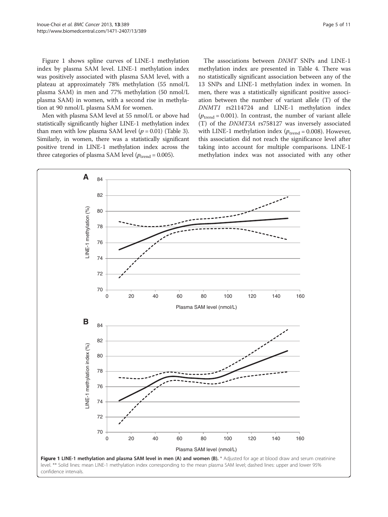Figure 1 shows spline curves of LINE-1 methylation index by plasma SAM level. LINE-1 methylation index was positively associated with plasma SAM level, with a plateau at approximately 78% methylation (55 nmol/L plasma SAM) in men and 77% methylation (50 nmol/L plasma SAM) in women, with a second rise in methylation at 90 nmol/L plasma SAM for women.

Men with plasma SAM level at 55 nmol/L or above had statistically significantly higher LINE-1 methylation index than men with low plasma SAM level  $(p = 0.01)$  (Table [3](#page-7-0)). Similarly, in women, there was a statistically significant positive trend in LINE-1 methylation index across the three categories of plasma SAM level ( $p_{\text{trend}} = 0.005$ ).

The associations between DNMT SNPs and LINE-1 methylation index are presented in Table [4.](#page-8-0) There was no statistically significant association between any of the 13 SNPs and LINE-1 methylation index in women. In men, there was a statistically significant positive association between the number of variant allele (T) of the DNMT1 rs2114724 and LINE-1 methylation index  $(p_{\text{trend}} = 0.001)$ . In contrast, the number of variant allele (T) of the DNMT3A rs758127 was inversely associated with LINE-1 methylation index ( $p_{\text{trend}} = 0.008$ ). However, this association did not reach the significance level after taking into account for multiple comparisons. LINE-1 methylation index was not associated with any other

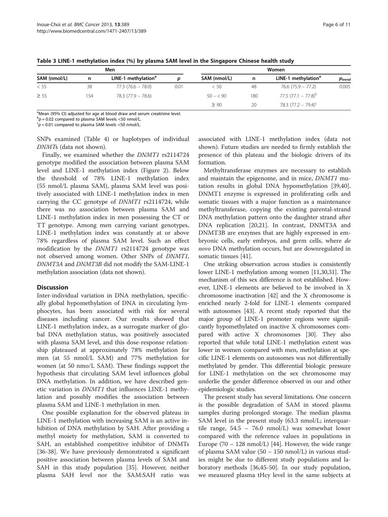|              |     | Men                             | Women |              |     |                                 |                  |  |
|--------------|-----|---------------------------------|-------|--------------|-----|---------------------------------|------------------|--|
| SAM (nmol/L) | n   | LINE-1 methylation <sup>a</sup> |       | SAM (nmol/L) | n   | LINE-1 methylation <sup>a</sup> | $\bm{p}_{trend}$ |  |
| < 55         | 38  | $77.3(76.6 - 78.0)$             | 0.01  | < 50         | 48  | $76.6(75.9 - 77.2)$             | 0.005            |  |
| $\geq 55$    | 154 | $78.3(77.9 - 78.6)$             |       | $50 - 50$    | 180 | $77.5 (77.1 - 77.8)^{b}$        |                  |  |
|              |     |                                 |       | $\geq 90$    | 20  | 78.3 $(77.2 - 79.4)^{c}$        |                  |  |

<span id="page-7-0"></span>Table 3 LINE-1 methylation index (%) by plasma SAM level in the Singapore Chinese health study

<sup>a</sup>Mean (95% CI) adjusted for age at blood draw and serum creatinine level.

 $b_p = 0.02$  compared to plasma SAM levels <50 nmol/L.<br> $b_p = 0.01$  compared to plasma SAM levels <50 nmol/L

 ${}^c p = 0.01$  compared to plasma SAM levels <50 nmol/L.

SNPs examined (Table [4\)](#page-8-0) or haplotypes of individual DNMTs (data not shown).

Finally, we examined whether the DNMT1 rs2114724 genotype modified the association between plasma SAM level and LINE-1 methylation index (Figure [2](#page-9-0)). Below the threshold of 78% LINE-1 methylation index (55 nmol/L plasma SAM), plasma SAM level was positively associated with LINE-1 methylation index in men carrying the CC genotype of DNMT1 rs2114724, while there was no association between plasma SAM and LINE-1 methylation index in men possessing the CT or TT genotype. Among men carrying variant genotypes, LINE-1 methylation index was constantly at or above 78% regardless of plasma SAM level. Such an effect modification by the DNMT1 rs2114724 genotype was not observed among women. Other SNPs of DNMT1, DNMT3A and DNMT3B did not modify the SAM-LINE-1 methylation association (data not shown).

## **Discussion**

Inter-individual variation in DNA methylation, specifically global hypomethylation of DNA in circulating lymphocytes, has been associated with risk for several diseases including cancer. Our results showed that LINE-1 methylation index, as a surrogate marker of global DNA methylation status, was positively associated with plasma SAM level, and this dose-response relationship plateaued at approximately 78% methylation for men (at 55 nmol/L SAM) and 77% methylation for women (at 50 nmo/L SAM). These findings support the hypothesis that circulating SAM level influences global DNA methylation. In addition, we have described genetic variation in DNMT1 that influences LINE-1 methylation and possibly modifies the association between plasma SAM and LINE-1 methylation in men.

One possible explanation for the observed plateau in LINE-1 methylation with increasing SAM is an active inhibition of DNA methylation by SAH. After providing a methyl moiety for methylation, SAM is converted to SAH, an established competitive inhibitor of DNMTs [[36-38](#page-11-0)]. We have previously demonstrated a significant positive association between plasma levels of SAM and SAH in this study population [[35\]](#page-11-0). However, neither plasma SAH level nor the SAM:SAH ratio was

associated with LINE-1 methylation index (data not shown). Future studies are needed to firmly establish the presence of this plateau and the biologic drivers of its formation.

Methyltransferase enzymes are necessary to establish and maintain the epigenome, and in mice, DNMT1 mutation results in global DNA hypomethylation [\[39,40](#page-11-0)]. DNMT1 enzyme is expressed in proliferating cells and somatic tissues with a major function as a maintenance methyltransferase, copying the existing parental-strand DNA methylation pattern onto the daughter strand after DNA replication [\[20,21](#page-11-0)]. In contrast, DNMT3A and DNMT3B are enzymes that are highly expressed in embryonic cells, early embryos, and germ cells, where de novo DNA methylation occurs, but are downregulated in somatic tissues [\[41\]](#page-11-0).

One striking observation across studies is consistently lower LINE-1 methylation among women [\[11,30,31](#page-11-0)]. The mechanism of this sex difference is not established. However, LINE-1 elements are believed to be involved in X chromosome inactivation [\[42\]](#page-11-0) and the X chromosome is enriched nearly 2-fold for LINE-1 elements compared with autosomes [[43](#page-11-0)]. A recent study reported that the major group of LINE-1 promoter regions were significantly hypomethylated on inactive X chromosomes compared with active X chromosomes [\[30](#page-11-0)]. They also reported that while total LINE-1 methylation extent was lower in women compared with men, methylation at specific LINE-1 elements on autosomes was not differentially methylated by gender. This differential biologic pressure for LINE-1 methylation on the sex chromosome may underlie the gender difference observed in our and other epidemiologic studies.

The present study has several limitations. One concern is the possible degradation of SAM in stored plasma samples during prolonged storage. The median plasma SAM level in the present study (63.3 nmol/L; interquartile range, 54.5 – 76.0 nmol/L) was somewhat lower compared with the reference values in populations in Europe  $(70 - 128 \text{ nmol/L})$  [\[44\]](#page-11-0). However, the wide range of plasma SAM value (50 – 150 nmol/L) in various studies might be due to different study populations and laboratory methods [[36](#page-11-0),[45](#page-11-0)-[50\]](#page-12-0). In our study population, we measured plasma tHcy level in the same subjects at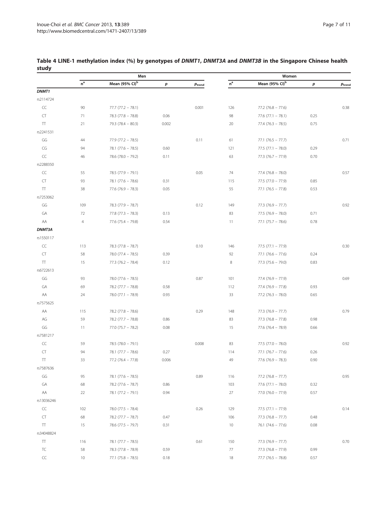|                    |                 | Men                        |       |                      |                         | Women                      |      |                    |
|--------------------|-----------------|----------------------------|-------|----------------------|-------------------------|----------------------------|------|--------------------|
|                    | $n^a$           | Mean (95% CI) <sup>b</sup> | p     | $p_{\mathrm{trend}}$ | $\mathsf{n}^\mathsf{a}$ | Mean (95% CI) <sup>b</sup> | р    | $p_{\text{trend}}$ |
| DNMT1              |                 |                            |       |                      |                         |                            |      |                    |
| rs2114724          |                 |                            |       |                      |                         |                            |      |                    |
| CC                 | 90              | $77.7 (77.2 - 78.1)$       |       | 0.001                | 126                     | $77.2$ (76.8 - 77.6)       |      | 0.38               |
| CT                 | 71              | $78.3 (77.8 - 78.8)$       | 0.06  |                      | 98                      | $77.6$ (77.1 - 78.1)       | 0.25 |                    |
| $\top$             | 21              | $79.3 (78.4 - 80.3)$       | 0.002 |                      | 20                      | $77.4 (76.3 - 78.5)$       | 0.75 |                    |
| rs2241531          |                 |                            |       |                      |                         |                            |      |                    |
| GG                 | 44              | $77.9$ $(77.2 - 78.5)$     |       | 0.11                 | 61                      | $77.1 (76.5 - 77.7)$       |      | 0.71               |
| CG                 | 94              | $78.1 (77.6 - 78.5)$       | 0.60  |                      | 121                     | $77.5 (77.1 - 78.0)$       | 0.29 |                    |
| CC                 | 46              | $78.6$ $(78.0 - 79.2)$     | 0.11  |                      | 63                      | $77.3 (76.7 - 77.9)$       | 0.70 |                    |
| rs2288350          |                 |                            |       |                      |                         |                            |      |                    |
| CC                 | 55              | $78.5 (77.9 - 79.1)$       |       | 0.05                 | 74                      | $77.4 (76.8 - 78.0)$       |      | 0.57               |
| CT                 | 93              | $78.1 (77.6 - 78.6)$       | 0.31  |                      | 115                     | $77.5 (77.0 - 77.9)$       | 0.85 |                    |
| $\top$             | 38              | $77.6$ (76.9 - 78.3)       | 0.05  |                      | 55                      | $77.1 (76.5 - 77.8)$       | 0.53 |                    |
| rs7253062          |                 |                            |       |                      |                         |                            |      |                    |
| GG                 | 109             | $78.3 (77.9 - 78.7)$       |       | 0.12                 | 149                     | $77.3 (76.9 - 77.7)$       |      | 0.92               |
| GA                 | 72              | $77.8$ $(77.3 - 78.3)$     | 0.13  |                      | 83                      | $77.5(76.9 - 78.0)$        | 0.71 |                    |
| AA                 | $\overline{4}$  | $77.6$ (75.4 - 79.8)       | 0.54  |                      | 11                      | $77.1 (75.7 - 78.6)$       | 0.78 |                    |
| DNMT3A             |                 |                            |       |                      |                         |                            |      |                    |
| rs1550117          |                 |                            |       |                      |                         |                            |      |                    |
| CC                 | 113             | $78.3 (77.8 - 78.7)$       |       | 0.10                 | 146                     | $77.5 (77.1 - 77.9)$       |      | 0.30               |
| CT                 | 58              | $78.0 (77.4 - 78.5)$       | 0.39  |                      | 92                      | $77.1 (76.6 - 77.6)$       | 0.24 |                    |
| $\boldsymbol{\Pi}$ | 15              | $77.3 (76.2 - 78.4)$       | 0.12  |                      | $\,8\,$                 | $77.3 (75.6 - 79.0)$       | 0.83 |                    |
| rs6722613          |                 |                            |       |                      |                         |                            |      |                    |
| GG                 | 93              | $78.0 (77.6 - 78.5)$       |       | 0.87                 | 101                     | $77.4 (76.9 - 77.9)$       |      | 0.69               |
| GA                 | 69              | $78.2$ (77.7 - 78.8)       | 0.58  |                      | 112                     | $77.4 (76.9 - 77.8)$       | 0.93 |                    |
| AA                 | 24              | $78.0 (77.1 - 78.9)$       | 0.93  |                      | 33                      | $77.2$ (76.3 - 78.0)       | 0.65 |                    |
| rs7575625          |                 |                            |       |                      |                         |                            |      |                    |
| AA                 | 115             | $78.2$ (77.8 - 78.6)       |       | 0.29                 | 148                     | $77.3 (76.9 - 77.7)$       |      | 0.79               |
| AG                 | 59              | $78.2 (77.7 - 78.8)$       | 0.86  |                      | 83                      | $77.3 (76.8 - 77.8)$       | 0.98 |                    |
| GG                 | 11              | $77.0 (75.7 - 78.2)$       | 0.08  |                      | 15                      | $77.6$ (76.4 - 78.9)       | 0.66 |                    |
| rs7581217          |                 |                            |       |                      |                         |                            |      |                    |
| CC                 | 59              | $78.5(78.0 - 79.1)$        |       | 0.008                | 83                      | $77.5 (77.0 - 78.0)$       |      | 0.92               |
| CT                 | 94              | $78.1 (77.7 - 78.6)$       | 0.27  |                      | 114                     | $77.1 (76.7 - 77.6)$       | 0.26 |                    |
| $\boldsymbol{\Pi}$ | 33              | $77.2 (76.4 - 77.8)$       | 0.006 |                      | 49                      | $77.6$ (76.9 - 78.3)       | 0.90 |                    |
| rs7587636          |                 |                            |       |                      |                         |                            |      |                    |
| GG                 | 95              | $78.1 (77.6 - 78.5)$       |       | 0.89                 | 116                     | $77.2 (76.8 - 77.7)$       |      | 0.95               |
| GA                 | 68              | $78.2 (77.6 - 78.7)$       | 0.86  |                      | 103                     | $77.6$ (77.1 - 78.0)       | 0.32 |                    |
| AA                 | 22              | $78.1 (77.2 - 79.1)$       | 0.94  |                      | 27                      | $77.0$ $(76.0 - 77.9)$     | 0.57 |                    |
| rs13036246         |                 |                            |       |                      |                         |                            |      |                    |
| CC                 | 102             | $78.0 (77.5 - 78.4)$       |       | 0.26                 | 129                     | $77.5(77.1 - 77.9)$        |      | 0.14               |
| CT                 | 68              | $78.2 (77.7 - 78.7)$       | 0.47  |                      | 106                     | $77.3 (76.8 - 77.7)$       | 0.48 |                    |
| $\Pi$              | 15              | $78.6$ $(77.5 - 79.7)$     | 0.31  |                      | 10                      | $76.1 (74.6 - 77.6)$       | 0.08 |                    |
| rs34048824         |                 |                            |       |                      |                         |                            |      |                    |
| $\Pi$              | 116             | $78.1 (77.7 - 78.5)$       |       | 0.61                 | 150                     | $77.3 (76.9 - 77.7)$       |      | 0.70               |
| TC                 | 58              | $78.3 (77.8 - 78.9)$       | 0.59  |                      | 77                      | $77.3 (76.8 - 77.9)$       | 0.99 |                    |
| CC                 | 10 <sup>°</sup> | $77.1 (75.8 - 78.5)$       | 0.18  |                      | 18                      | $77.7$ (76.5 - 78.8)       | 0.57 |                    |

## <span id="page-8-0"></span>Table 4 LINE-1 methylation index (%) by genotypes of DNMT1, DNMT3A and DNMT3B in the Singapore Chinese health study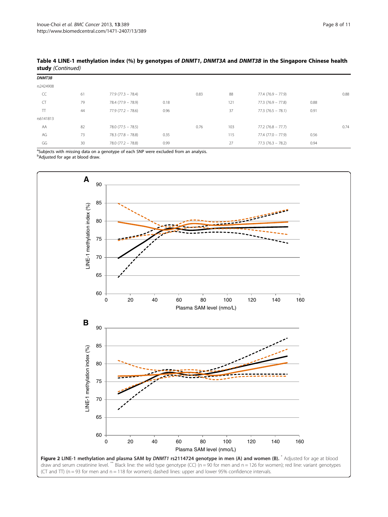| DNMT3B    |    |                      |      |      |     |                      |      |      |
|-----------|----|----------------------|------|------|-----|----------------------|------|------|
| rs2424908 |    |                      |      |      |     |                      |      |      |
| CC        | 61 | $77.9(77.3 - 78.4)$  |      | 0.83 | 88  | $77.4 (76.9 - 77.9)$ |      | 0.88 |
| <b>CT</b> | 79 | $78.4 (77.9 - 78.9)$ | 0.18 |      | 121 | $77.3 (76.9 - 77.8)$ | 0.88 |      |
| $\top$    | 44 | $77.9(77.2 - 78.6)$  | 0.96 |      | 37  | $77.3 (76.5 - 78.1)$ | 0.91 |      |
| rs6141813 |    |                      |      |      |     |                      |      |      |
| AA        | 82 | $78.0 (77.5 - 78.5)$ |      | 0.76 | 103 | $77.2(76.8 - 77.7)$  |      | 0.74 |
| AG        | 73 | $78.3 (77.8 - 78.8)$ | 0.35 |      | 115 | $77.4 (77.0 - 77.9)$ | 0.56 |      |
| GG        | 30 | $78.0 (77.2 - 78.8)$ | 0.99 |      | 27  | $77.3(76.3 - 78.2)$  | 0.94 |      |

<span id="page-9-0"></span>Table 4 LINE-1 methylation index (%) by genotypes of DNMT1, DNMT3A and DNMT3B in the Singapore Chinese health study (Continued)

<sup>a</sup>Subjects with missing data on a genotype of each SNP were excluded from an analysis. <sup>b</sup>Adjusted for age at blood draw.

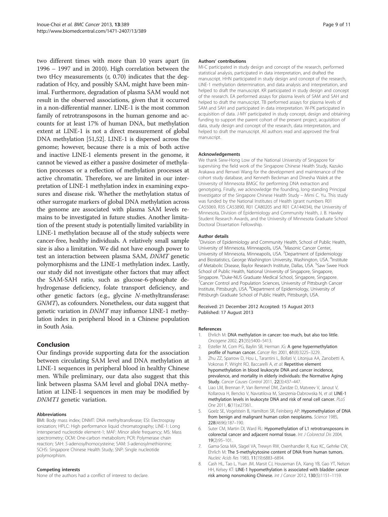<span id="page-10-0"></span>two different times with more than 10 years apart (in 1996 – 1997 and in 2010). High correlation between the two tHcy measurements (r, 0.70) indicates that the degradation of Hcy, and possibly SAM, might have been minimal. Furthermore, degradation of plasma SAM would not result in the observed associations, given that it occurred in a non-differential manner. LINE-1 is the most common family of retrotransposons in the human genome and accounts for at least 17% of human DNA, but methylation extent at LINE-1 is not a direct measurement of global DNA methylation [[51,52](#page-12-0)]. LINE-1 is dispersed across the genome; however, because there is a mix of both active and inactive LINE-1 elements present in the genome, it cannot be viewed as either a passive dosimeter of methylation processes or a reflection of methylation processes at active chromatin. Therefore, we are limited in our interpretation of LINE-1 methylation index in examining exposures and disease risk. Whether the methylation status of other surrogate markers of global DNA methylation across the genome are associated with plasma SAM levels remains to be investigated in future studies. Another limitation of the present study is potentially limited variability in LINE-1 methylation because all of the study subjects were cancer-free, healthy individuals. A relatively small sample size is also a limitation. We did not have enough power to test an interaction between plasma SAM, DNMT genetic polymorphisms and the LINE-1 methylation index. Lastly, our study did not investigate other factors that may affect the SAM-SAH ratio, such as glucose-6-phosphate dehydrogenase deficiency, folate transport deficiency, and other genetic factors (e.g., glycine N-methyltransferase: GNMT), as cofounders. Nonetheless, our data suggest that genetic variation in DNMT may influence LINE-1 methylation index in peripheral blood in a Chinese population in South Asia.

## Conclusion

Our findings provide supporting data for the association between circulating SAM level and DNA methylation at LINE-1 sequences in peripheral blood in healthy Chinese men. While preliminary, our data also suggest that this link between plasma SAM level and global DNA methylation at LINE-1 sequences in men may be modified by DNMT1 genetic variation.

#### Abbreviations

BMI: Body mass index; DNMT: DNA methyltransferase; ESI: Electrospray ionization; HPLC: High performance liquid chromatography; LINE-1: Long interspersed nucleotide element-1; MAF: Minor allele frequency; MS: Mass spectrometry; OCM: One-carbon metabolism; PCR: Polymerase chain reaction; SAH: S-adenosylhomocysteine; SAM: S-adenosylmethionine; SCHS: Singapore Chinese Health Study; SNP: Single nucleotide polymorphism.

#### Competing interests

None of the authors had a conflict of interest to declare.

#### Authors' contributions

MI-C participated in study design and concept of the research, performed statistical analysis, participated in data interpretation, and drafted the manuscript. HHN participated in study design and concept of the research, LINE-1 methylation determination, and data analysis and interpretation, and helped to draft the manuscript. KR participated in study design and concept of the research. EA performed assays for plasma levels of SAM and SAH and helped to draft the manuscript. TB performed assays for plasma levels of SAM and SAH and participated in data interpretation. W-PK participated in acquisition of data. J-MY participated in study concept, design and obtaining funding to support the parent cohort of the present project, acquisition of data, study design and concept of the research, data interpretation, and helped to draft the manuscript. All authors read and approved the final manuscript.

#### Acknowledgements

We thank Siew-Hong Low of the National University of Singapore for supervising the field work of the Singapore Chinese Health Study, Kazuko Arakawa and Renwei Wang for the development and maintenance of the cohort study database, and Kenneth Beckman and Dinesha Walek at the University of Minnesota BMGC for performing DNA extraction and genotyping. Finally, we acknowledge the founding, long-standing Principal Investigator of the Singapore Chinese Health Study – Mimi C. Yu. This study was funded by the National Institutes of Health (grant numbers R01 CA55069, R35 CA53890, R01 CA80205 and R01 CA144034), the University of Minnesota, Division of Epidemiology and Community Health, J. B. Hawley Student Research Awards, and the University of Minnesota Graduate School Doctoral Dissertation Fellowship.

#### Author details

<sup>1</sup> Division of Epidemiology and Community Health, School of Public Health, University of Minnesota, Minneapolis, USA. <sup>2</sup>Masonic Cancer Center University of Minnesota, Minneapolis, USA. <sup>3</sup>Department of Epidemiology and Biostatistics, George Washington University, Washington, USA. <sup>4</sup>Institute of Metabolic Disease, Baylor Research Institute, Dallas, USA. <sup>5</sup>Saw Swee Hock School of Public Health, National University of Singapore, Singapore, Singapore. <sup>6</sup>Duke-NUS Graduate Medical School, Singapore, Singapore.<br><sup>7</sup>Cancer Control and Population Sciences. University of Pittsburgh Canc  $\sigma^7$ Cancer Control and Population Sciences, University of Pittsburgh Cancer Institute, Pittsburgh, USA. <sup>8</sup>Department of Epidemiology, University of Pittsburgh Graduate School of Public Health, Pittsburgh, USA.

#### Received: 21 December 2012 Accepted: 15 August 2013 Published: 17 August 2013

#### References

- 1. Ehrlich M: DNA methylation in cancer: too much, but also too little. Oncogene 2002, 21(35):5400–5413.
- 2. Esteller M, Corn PG, Baylin SB, Herman JG: A gene hypermethylation profile of human cancer. Cancer Res 2001, 61(8):3225–3229.
- 3. Zhu ZZ, Sparrow D, Hou L, Tarantini L, Bollati V, Litonjua AA, Zanobetti A, Vokonas P, Wright RO, Baccarelli A, et al: Repetitive element hypomethylation in blood leukocyte DNA and cancer incidence, prevalence, and mortality in elderly individuals: the Normative Aging Study. Cancer Causes Control 2011, 22(3):437–447.
- 4. Liao LM, Brennan P, Van Bemmel DM, Zaridze D, Matveev V, Janout V, Kollarova H, Bencko V, Navratilova M, Szeszenia-Dabrowska N, et al: LINE-1 methylation levels in leukocyte DNA and risk of renal cell cancer. PLoS One 2011, 6(11):e27361.
- 5. Goelz SE, Vogelstein B, Hamilton SR, Feinberg AP: Hypomethylation of DNA from benign and malignant human colon neoplasms. Science 1985, 228(4696):187–190.
- 6. Suter CM, Martin DI, Ward RL: Hypomethylation of L1 retrotransposons in colorectal cancer and adjacent normal tissue. Int J Colorectal Dis 2004, 19(2):95–101.
- 7. Gama-Sosa MA, Slagel VA, Trewyn RW, Oxenhandler R, Kuo KC, Gehrke CW, Ehrlich M: The 5-methylcytosine content of DNA from human tumors. Nucleic Acids Res 1983, 11(19):6883–6894.
- 8. Cash HL, Tao L, Yuan JM, Marsit CJ, Houseman EA, Xiang YB, Gao YT, Nelson HH, Kelsey KT: LINE-1 hypomethylation is associated with bladder cancer risk among nonsmoking Chinese. Int J Cancer 2012, 130(5):1151–1159.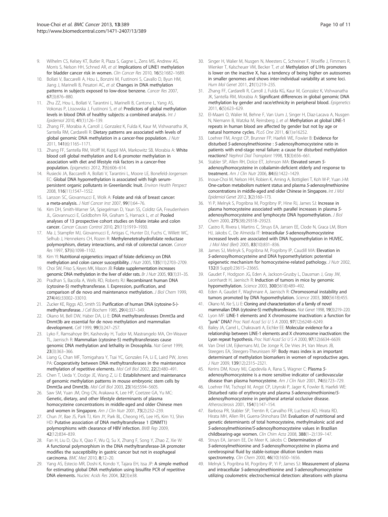- <span id="page-11-0"></span>9. Wilhelm CS, Kelsey KT, Butler R, Plaza S, Gagne L, Zens MS, Andrew AS, Morris S, Nelson HH, Schned AR, et al: Implications of LINE1 methylation for bladder cancer risk in women. Clin Cancer Res 2010, 16(5):1682–1689.
- 10. Bollati V, Baccarelli A, Hou L, Bonzini M, Fustinoni S, Cavallo D, Byun HM, Jiang J, Marinelli B, Pesatori AC, et al: Changes in DNA methylation patterns in subjects exposed to low-dose benzene. Cancer Res 2007, 67(3):876–880.
- 11. Zhu ZZ, Hou L, Bollati V, Tarantini L, Marinelli B, Cantone L, Yang AS, Vokonas P, Lissowska J, Fustinoni S, et al: Predictors of global methylation levels in blood DNA of healthy subjects: a combined analysis. Int J Epidemiol 2010, 41(1):126–139.
- 12. Zhang FF, Morabia A, Carroll J, Gonzalez K, Fulda K, Kaur M, Vishwanatha JK, Santella RM, Cardarelli R: Dietary patterns are associated with levels of global genomic DNA methylation in a cancer-free population. J Nutr 2011, 141(6):1165–1171.
- 13. Zhang FF, Santella RM, Wolff M, Kappil MA, Markowitz SB, Morabia A: White blood cell global methylation and IL-6 promoter methylation in association with diet and lifestyle risk factors in a cancer-free population. Epigenetics 2012, 7(6):606–614.
- 14. Rusiecki JA, Baccarelli A, Bollati V, Tarantini L, Moore LE, Bonefeld-Jorgensen EC: Global DNA hypomethylation is associated with high serumpersistent organic pollutants in Greenlandic Inuit. Environ Health Perspect 2008, 116(11):1547–1552.
- 15. Larsson SC, Giovannucci E, Wolk A: Folate and risk of breast cancer: a meta-analysis. J Natl Cancer Inst 2007, 99(1):64–76.
- 16. Kim DH, Smith-Warner SA, Spiegelman D, Yaun SS, Colditz GA, Freudenheim JL, Giovannucci E, Goldbohm RA, Graham S, Harnack L, et al: Pooled analyses of 13 prospective cohort studies on folate intake and colon cancer. Cancer Causes Control 2010, 21(11):1919–1930.
- 17. Ma J, Stampfer MJ, Giovannucci E, Artigas C, Hunter DJ, Fuchs C, Willett WC, Selhub J, Hennekens CH, Rozen R: Methylenetetrahydrofolate reductase polymorphism, dietary interactions, and risk of colorectal cancer. Cancer Res 1997, 57(6):1098–1102.
- 18. Kim YI: Nutritional epigenetics: impact of folate deficiency on DNA methylation and colon cancer susceptibility. J Nutr 2005, 135(11):2703–2709.
- 19. Choi SW, Friso S, Keyes MK, Mason JB: Folate supplementation increases genomic DNA methylation in the liver of elder rats. Br J Nutr 2005, 93(1):31–35.
- 20. Pradhan S, Bacolla A, Wells RD, Roberts RJ: Recombinant human DNA (cytosine-5) methyltransferase. I. Expression, purification, and comparison of de novo and maintenance methylation. J Biol Chem 1999, 274(46):33002–33010.
- 21. Zucker KE, Riggs AD, Smith SS: Purification of human DNA (cytosine-5-)methyltransferase. J Cell Biochem 1985, 29(4):337–349.
- 22. Okano M, Bell DW, Haber DA, Li E: DNA methyltransferases Dnmt3a and Dnmt3b are essential for de novo methylation and mammalian development. Cell 1999, 99(3):247–257.
- 23. Lyko F, Ramsahoye BH, Kashevsky H, Tudor M, Mastrangelo MA, Orr-Weaver TL, Jaenisch R: Mammalian (cytosine-5) methyltransferases cause genomic DNA methylation and lethality in Drosophila. Nat Genet 1999, 23(3):363–366.
- 24. Liang G, Chan MF, Tomigahara Y, Tsai YC, Gonzales FA, Li E, Laird PW, Jones PA: Cooperativity between DNA methyltransferases in the maintenance methylation of repetitive elements. Mol Cell Biol 2002, 22(2):480–491.
- 25. Chen T, Ueda Y, Dodge JE, Wang Z, Li E: Establishment and maintenance of genomic methylation patterns in mouse embryonic stem cells by Dnmt3a and Dnmt3b. Mol Cell Biol 2003, 23(16):5594–5605.
- 26. Saw SM, Yuan JM, Ong CN, Arakawa K, Lee HP, Coetzee GA, Yu MC: Genetic, dietary, and other lifestyle determinants of plasma homocysteine concentrations in middle-aged and older Chinese men and women in Singapore. Am J Clin Nutr 2001, 73(2):232–239.
- 27. Chun JY, Bae JS, Park TJ, Kim JY, Park BL, Cheong HS, Lee HS, Kim YJ, Shin HD: Putative association of DNA methyltransferase 1 (DNMT1) polymorphisms with clearance of HBV infection. BMB Rep 2009, 42(12):834–839.
- 28. Fan H, Liu D, Qiu X, Qiao F, Wu Q, Su X, Zhang F, Song Y, Zhao Z, Xie W: A functional polymorphism in the DNA methyltransferase-3A promoter modifies the susceptibility in gastric cancer but not in esophageal carcinoma. BMC Med 2010, 8:12–20.
- 29. Yang AS, Estecio MR, Doshi K, Kondo Y, Tajara EH, Issa JP: A simple method for estimating global DNA methylation using bisulfite PCR of repetitive DNA elements. Nucleic Acids Res 2004, 32(3):e38.
- 30. Singer H, Walier M, Nusgen N, Meesters C, Schreiner F, Woelfle J, Fimmers R, Wienker T, Kalscheuer VM, Becker T, et al: Methylation of L1Hs promoters is lower on the inactive X, has a tendency of being higher on autosomes in smaller genomes and shows inter-individual variability at some loci. Hum Mol Genet 2011, 21(1):219–235.
- 31. Zhang FF, Cardarelli R, Carroll J, Fulda KG, Kaur M, Gonzalez K, Vishwanatha JK, Santella RM, Morabia A: Significant differences in global genomic DNA methylation by gender and race/ethnicity in peripheral blood. Epigenetics 2011, 6(5):623–629.
- 32. El-Maarri O, Walier M, Behne F, Van Uum J, Singer H, Diaz-Lacava A, Nusgen N, Niemann B, Watzka M, Reinsberg J, et al: Methylation at global LINE-1 repeats in human blood are affected by gender but not by age or natural hormone cycles. PLoS One 2011, 6(1):e16252.
- 33. Loehrer FM, Angst CP, Brunner FP, Haefeli WE, Fowler B: Evidence for disturbed S-adenosylmethionine : S-adenosylhomocysteine ratio in patients with end-stage renal failure: a cause for disturbed methylation reactions? Nephrol Dial Transplant 1998, 13(3):656–661.
- 34. Stabler SP, Allen RH, Dolce ET, Johnson MA: Elevated serum Sadenosylhomocysteine in cobalamin-deficient elderly and response to treatment. Am J Clin Nutr 2006, 84(6):1422–1429.
- 35. Inoue-Choi M, Nelson HH, Robien K, Arning A, Bottiglieri T, Koh W-P, Yuan J-M: One-carbon metabolism nutrient status and plasma S-adenosylmethionine concentrations in middle-aged and older Chinese in Singapore. Int J Mol Epidemiol Genet 2012, 3(2):160–173.
- 36. Yi P, Melnyk S, Pogribna M, Pogribny IP, Hine RJ, James SJ: Increase in plasma homocysteine associated with parallel increases in plasma Sadenosylhomocysteine and lymphocyte DNA hypomethylation. J Biol Chem 2000, 275(38):29318–29323.
- 37. Castro R, Rivera I, Martins C, Struys EA, Jansen EE, Clode N, Graca LM, Blom HJ, Jakobs C, De Almeida IT: Intracellular S-adenosylhomocysteine increased levels are associated with DNA hypomethylation in HUVEC. J Mol Med (Berl) 2005, 83(10):831–836.
- 38. James SJ, Melnyk S, Pogribna M, Pogribny IP, Caudill MA: Elevation in S-adenosylhomocysteine and DNA hypomethylation: potential epigenetic mechanism for homocysteine-related pathology. J Nutr 2002, 132(8 Suppl):2361S–2366S.
- 39. Gaudet F, Hodgson JG, Eden A, Jackson-Grusby L, Dausman J, Gray JW, Leonhardt H, Jaenisch R: Induction of tumors in mice by genomic hypomethylation. Science 2003, 300(5618):489–492.
- 40. Eden A, Gaudet F, Waghmare A, Jaenisch R: Chromosomal instability and tumors promoted by DNA hypomethylation. Science 2003, 300(5618):455.
- 41. Okano M, Xie S, Li E: Cloning and characterization of a family of novel mammalian DNA (cytosine-5) methyltransferases. Nat Genet 1998, 19(3):219–220.
- 42. Lyon MF: LINE-1 elements and X chromosome inactivation: a function for "junk" DNA? Proc Natl Acad Sci U S A 2000, 97(12):6248–6249.
- 43. Bailey JA, Carrel L, Chakravarti A, Eichler EE: Molecular evidence for a relationship between LINE-1 elements and X chromosome inactivation: the Lyon repeat hypothesis. Proc Natl Acad Sci U S A 2000, 97(12):6634-6639.
- 44. Van Driel LM, Eijkemans MJ, De Jonge R, De Vries JH, Van Meurs JB, Steegers EA, Steegers-Theunissen RP: Body mass index is an important determinant of methylation biomarkers in women of reproductive ages. J Nutr 2009, 139(12):2315–2321.
- 45. Kerins DM, Koury MJ, Capdevila A, Rana S, Wagner C: Plasma Sadenosylhomocysteine is a more sensitive indicator of cardiovascular disease than plasma homocysteine. Am J Clin Nutr 2001, 74(6):723-729.
- 46. Loehrer FM, Tschopl M, Angst CP, Litynski P, Jager K, Fowler B, Haefeli WE: Disturbed ratio of erythrocyte and plasma S-adenosylmethionine/Sadenosylhomocysteine in peripheral arterial occlusive disease. Atherosclerosis 2001, 154(1):147–154.
- 47. Barbosa PR, Stabler SP, Trentin R, Carvalho FR, Luchessi AD, Hirata RD, Hirata MH, Allen RH, Guerra-Shinohara EM: Evaluation of nutritional and genetic determinants of total homocysteine, methylmalonic acid and S-adenosylmethionine/S-adenosylhomocysteine values in Brazilian childbearing-age women. Clin Chim Acta 2008, 388(1–2):139–147.
- 48. Struys EA, Jansen EE, De Meer K, Jakobs C: Determination of S-adenosylmethionine and S-adenosylhomocysteine in plasma and cerebrospinal fluid by stable-isotope dilution tandem mass spectrometry. Clin Chem 2000, 46(10):1650-1656.
- Melnyk S, Pogribna M, Pogribny IP, Yi P, James SJ: Measurement of plasma and intracellular S-adenosylmethionine and S-adenosylhomocysteine utilizing coulometric electrochemical detection: alterations with plasma